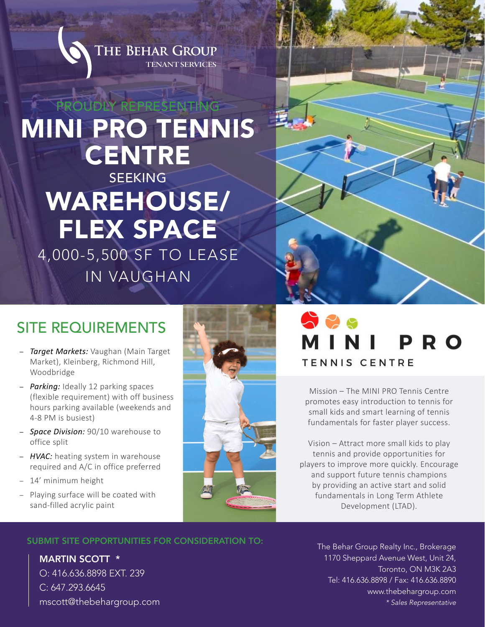

# PROUDLY REPRESENTING MINI PRO TENNIS **CENTRE** SEEKING WAREHOUSE/ FLEX SPACE 4,000-5,500 SF TO LEASE IN VAUGHAN



## SITE REQUIREMENTS

- *Target Markets:* Vaughan (Main Target Market), Kleinberg, Richmond Hill, Woodbridge
- *Parking:* Ideally 12 parking spaces (flexible requirement) with off business hours parking available (weekends and 4-8 PM is busiest)
- *Space Division:* 90/10 warehouse to office split
- *HVAC:* heating system in warehouse required and A/C in office preferred
- 14' minimum height
- Playing surface will be coated with sand-filled acrylic paint



# 525 **PRO TENNIS CENTRE**

Mission – The MINI PRO Tennis Centre promotes easy introduction to tennis for small kids and smart learning of tennis fundamentals for faster player success.

Vision – Attract more small kids to play tennis and provide opportunities for players to improve more quickly. Encourage and support future tennis champions by providing an active start and solid fundamentals in Long Term Athlete Development (LTAD).

#### SUBMIT SITE OPPORTUNITIES FOR CONSIDERATION TO:

MARTIN SCOTT \* O: 416.636.8898 EXT. 239 C: 647.293.6645 mscott@thebehargroup.com The Behar Group Realty Inc., Brokerage 1170 Sheppard Avenue West, Unit 24, Toronto, ON M3K 2A3 Tel: 416.636.8898 / Fax: 416.636.8890 www.thebehargroup.com *\* Sales Representative*